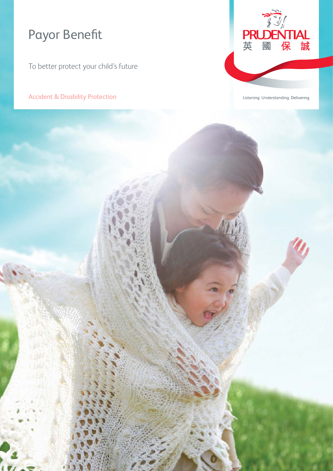# Payor Benefit

To better protect your child's future

Accident & Disability Protection



Listening. Understanding. Delivering.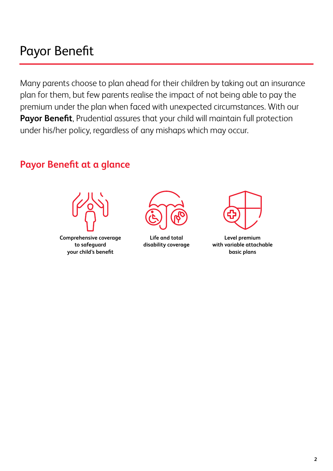# Payor Benefit

Many parents choose to plan ahead for their children by taking out an insurance plan for them, but few parents realise the impact of not being able to pay the premium under the plan when faced with unexpected circumstances. With our **Payor Benefit**, Prudential assures that your child will maintain full protection under his/her policy, regardless of any mishaps which may occur.

## **Payor Benefit at a glance**



**Comprehensive coverage to safeguard your child's benefit** 



**Life and total disability coverage**



**Level premium with variable attachable basic plans**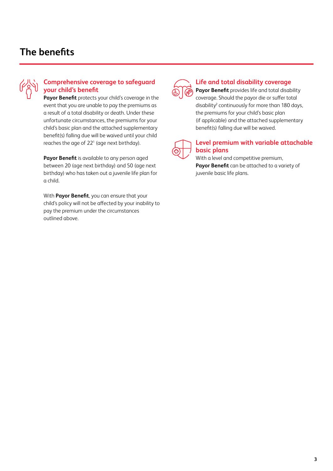## **The benefits**



#### **Comprehensive coverage to safeguard your child's benefit**

**Payor Benefit** protects your child's coverage in the event that you are unable to pay the premiums as a result of a total disability or death. Under these unfortunate circumstances, the premiums for your child's basic plan and the attached supplementary benefit(s) falling due will be waived until your child reaches the age of  $22^1$  (age next birthday).

**Payor Benefit** is available to any person aged between 20 (age next birthday) and 50 (age next birthday) who has taken out a juvenile life plan for a child.

With **Payor Benefit**, you can ensure that your child's policy will not be affected by your inability to pay the premium under the circumstances outlined above.



#### **Life and total disability coverage**

**Payor Benefit** provides life and total disability coverage. Should the payor die or suffer total disability<sup>2</sup> continuously for more than 180 days, the premiums for your child's basic plan (if applicable) and the attached supplementary benefit(s) falling due will be waived.



#### **Level premium with variable attachable basic plans**

With a level and competitive premium, **Payor Benefit** can be attached to a variety of juvenile basic life plans.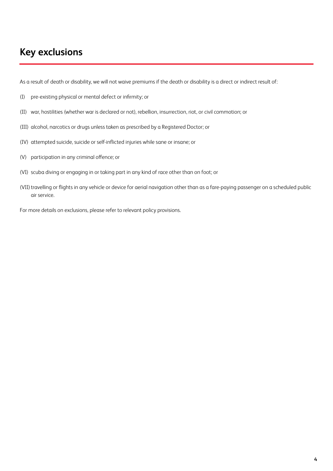## **Key exclusions**

As a result of death or disability, we will not waive premiums if the death or disability is a direct or indirect result of:

- (I) pre-existing physical or mental defect or infirmity; or
- (II) war, hostilities (whether war is declared or not), rebellion, insurrection, riot, or civil commotion; or
- (III) alcohol, narcotics or drugs unless taken as prescribed by a Registered Doctor; or
- (IV) attempted suicide, suicide or self-inflicted injuries while sane or insane; or
- (V) participation in any criminal offence; or
- (VI) scuba diving or engaging in or taking part in any kind of race other than on foot; or
- (VII) travelling or flights in any vehicle or device for aerial navigation other than as a fare-paying passenger on a scheduled public air service.

For more details on exclusions, please refer to relevant policy provisions.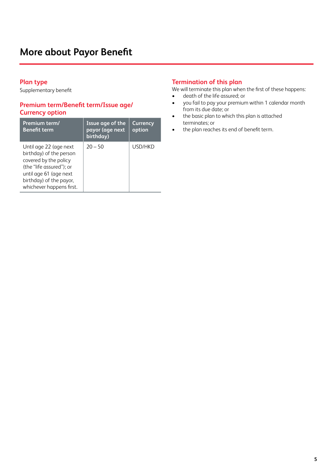#### **Plan type**

Supplementary benefit

### **Premium term/Benefit term/Issue age/ Currency option**

| Premium term/<br><b>Benefit term</b>                                                                                                                                                    | Issue age of the<br>payor (age next<br>birthday) | <b>Currency</b><br>option |
|-----------------------------------------------------------------------------------------------------------------------------------------------------------------------------------------|--------------------------------------------------|---------------------------|
| Until age 22 (age next<br>birthday) of the person<br>covered by the policy<br>(the "life assured"); or<br>until age 61 (age next<br>birthday) of the payor,<br>whichever happens first. | $20 - 50$                                        | USD/HKD                   |

#### **Termination of this plan**

We will terminate this plan when the first of these happens:

- death of the life assured; or
- you fail to pay your premium within 1 calendar month from its due date; or
- the basic plan to which this plan is attached terminates; or
- the plan reaches its end of benefit term.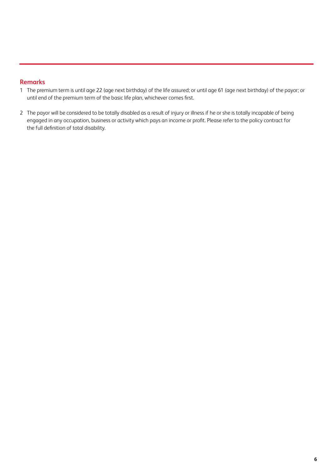### **Remarks**

- 1 The premium term is until age 22 (age next birthday) of the life assured; or until age 61 (age next birthday) of the payor; or until end of the premium term of the basic life plan, whichever comes first.
- 2 The payor will be considered to be totally disabled as a result of injury or illness if he or she is totally incapable of being engaged in any occupation, business or activity which pays an income or profit. Please refer to the policy contract for the full definition of total disability.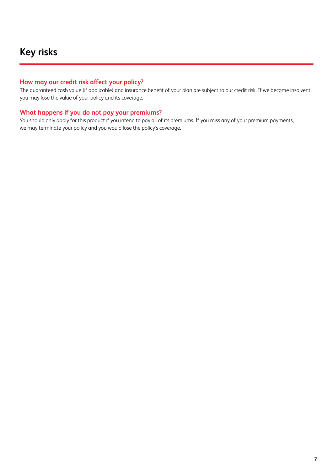#### **How may our credit risk affect your policy?**

The guaranteed cash value (if applicable) and insurance benefit of your plan are subject to our credit risk. If we become insolvent, you may lose the value of your policy and its coverage.

#### **What happens if you do not pay your premiums?**

You should only apply for this product if you intend to pay all of its premiums. If you miss any of your premium payments, we may terminate your policy and you would lose the policy's coverage.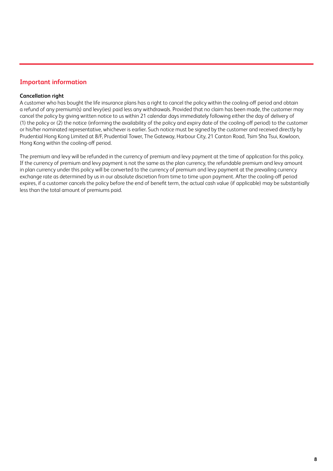#### **Important information**

#### **Cancellation right**

A customer who has bought the life insurance plans has a right to cancel the policy within the cooling-off period and obtain a refund of any premium(s) and levy(ies) paid less any withdrawals. Provided that no claim has been made, the customer may cancel the policy by giving written notice to us within 21 calendar days immediately following either the day of delivery of (1) the policy or (2) the notice (informing the availability of the policy and expiry date of the cooling-off period) to the customer or his/her nominated representative, whichever is earlier. Such notice must be signed by the customer and received directly by Prudential Hong Kong Limited at 8/F, Prudential Tower, The Gateway, Harbour City, 21 Canton Road, Tsim Sha Tsui, Kowloon, Hong Kong within the cooling-off period.

The premium and levy will be refunded in the currency of premium and levy payment at the time of application for this policy. If the currency of premium and levy payment is not the same as the plan currency, the refundable premium and levy amount in plan currency under this policy will be converted to the currency of premium and levy payment at the prevailing currency exchange rate as determined by us in our absolute discretion from time to time upon payment. After the cooling-off period expires, if a customer cancels the policy before the end of benefit term, the actual cash value (if applicable) may be substantially less than the total amount of premiums paid.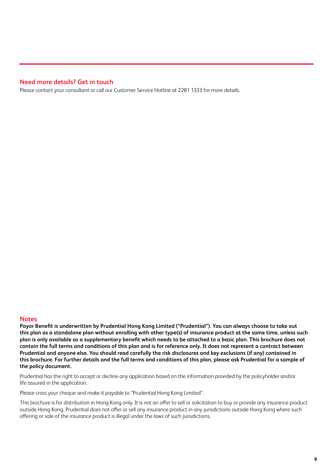#### **Need more details? Get in touch**

Please contact your consultant or call our Customer Service Hotline at 2281 1333 for more details.

#### **Notes**

**Payor Benefit is underwritten by Prudential Hong Kong Limited ("Prudential"). You can always choose to take out this plan as a standalone plan without enrolling with other type(s) of insurance product at the same time, unless such plan is only available as a supplementary benefit which needs to be attached to a basic plan. This brochure does not contain the full terms and conditions of this plan and is for reference only. It does not represent a contract between Prudential and anyone else. You should read carefully the risk disclosures and key exclusions (if any) contained in this brochure. For further details and the full terms and conditions of this plan, please ask Prudential for a sample of the policy document.**

Prudential has the right to accept or decline any application based on the information provided by the policyholder and/or life assured in the application.

Please cross your cheque and make it payable to "Prudential Hong Kong Limited".

This brochure is for distribution in Hong Kong only. It is not an offer to sell or solicitation to buy or provide any insurance product outside Hong Kong. Prudential does not offer or sell any insurance product in any jurisdictions outside Hong Kong where such offering or sale of the insurance product is illegal under the laws of such jurisdictions.